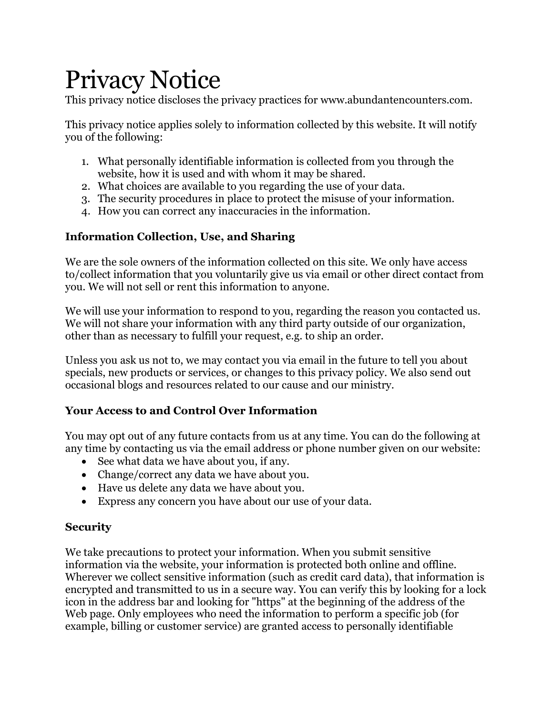## Privacy Notice

This privacy notice discloses the privacy practices for www.abundantencounters.com.

This privacy notice applies solely to information collected by this website. It will notify you of the following:

- 1. What personally identifiable information is collected from you through the website, how it is used and with whom it may be shared.
- 2. What choices are available to you regarding the use of your data.
- 3. The security procedures in place to protect the misuse of your information.
- 4. How you can correct any inaccuracies in the information.

## **Information Collection, Use, and Sharing**

We are the sole owners of the information collected on this site. We only have access to/collect information that you voluntarily give us via email or other direct contact from you. We will not sell or rent this information to anyone.

We will use your information to respond to you, regarding the reason you contacted us. We will not share your information with any third party outside of our organization, other than as necessary to fulfill your request, e.g. to ship an order.

Unless you ask us not to, we may contact you via email in the future to tell you about specials, new products or services, or changes to this privacy policy. We also send out occasional blogs and resources related to our cause and our ministry.

## **Your Access to and Control Over Information**

You may opt out of any future contacts from us at any time. You can do the following at any time by contacting us via the email address or phone number given on our website:

- See what data we have about you, if any.
- Change/correct any data we have about you.
- Have us delete any data we have about you.
- Express any concern you have about our use of your data.

## **Security**

We take precautions to protect your information. When you submit sensitive information via the website, your information is protected both online and offline. Wherever we collect sensitive information (such as credit card data), that information is encrypted and transmitted to us in a secure way. You can verify this by looking for a lock icon in the address bar and looking for "https" at the beginning of the address of the Web page. Only employees who need the information to perform a specific job (for example, billing or customer service) are granted access to personally identifiable